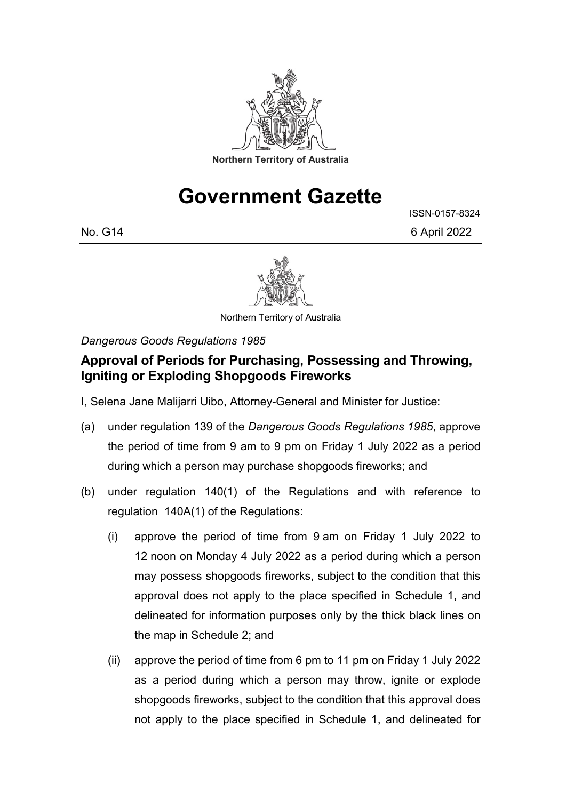

# **Government Gazette**

ISSN-0157-8324

No. G14 6 April 2022



Northern Territory of Australia

*Dangerous Goods Regulations 1985*

### **Approval of Periods for Purchasing, Possessing and Throwing, Igniting or Exploding Shopgoods Fireworks**

I, Selena Jane Malijarri Uibo, Attorney-General and Minister for Justice:

- (a) under regulation 139 of the *Dangerous Goods Regulations 1985*, approve the period of time from 9 am to 9 pm on Friday 1 July 2022 as a period during which a person may purchase shopgoods fireworks; and
- (b) under regulation 140(1) of the Regulations and with reference to regulation 140A(1) of the Regulations:
	- (i) approve the period of time from 9 am on Friday 1 July 2022 to 12 noon on Monday 4 July 2022 as a period during which a person may possess shopgoods fireworks, subject to the condition that this approval does not apply to the place specified in Schedule 1, and delineated for information purposes only by the thick black lines on the map in Schedule 2; and
	- (ii) approve the period of time from 6 pm to 11 pm on Friday 1 July 2022 as a period during which a person may throw, ignite or explode shopgoods fireworks, subject to the condition that this approval does not apply to the place specified in Schedule 1, and delineated for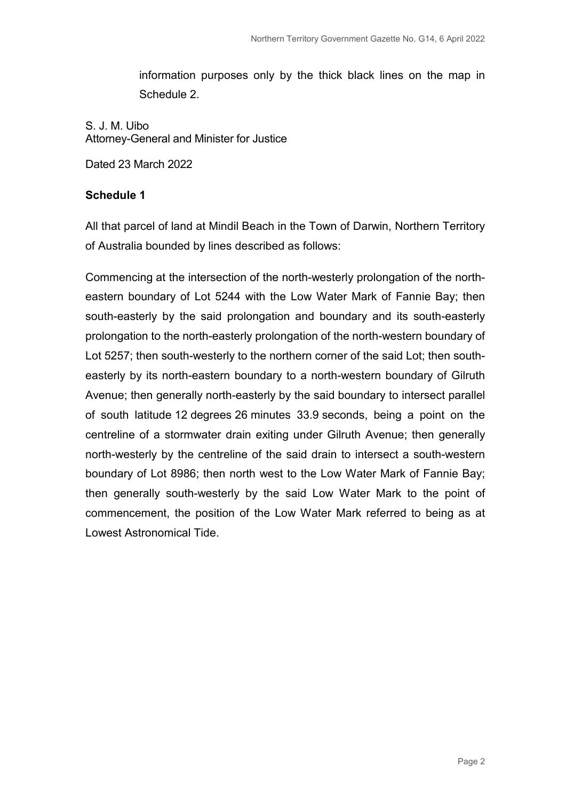information purposes only by the thick black lines on the map in Schedule 2.

S. J. M. Uibo Attorney-General and Minister for Justice

Dated 23 March 2022

#### **Schedule 1**

All that parcel of land at Mindil Beach in the Town of Darwin, Northern Territory of Australia bounded by lines described as follows:

Commencing at the intersection of the north-westerly prolongation of the northeastern boundary of Lot 5244 with the Low Water Mark of Fannie Bay; then south-easterly by the said prolongation and boundary and its south-easterly prolongation to the north-easterly prolongation of the north-western boundary of Lot 5257; then south-westerly to the northern corner of the said Lot; then southeasterly by its north-eastern boundary to a north-western boundary of Gilruth Avenue; then generally north-easterly by the said boundary to intersect parallel of south latitude 12 degrees 26 minutes 33.9 seconds, being a point on the centreline of a stormwater drain exiting under Gilruth Avenue; then generally north-westerly by the centreline of the said drain to intersect a south-western boundary of Lot 8986; then north west to the Low Water Mark of Fannie Bay; then generally south-westerly by the said Low Water Mark to the point of commencement, the position of the Low Water Mark referred to being as at Lowest Astronomical Tide.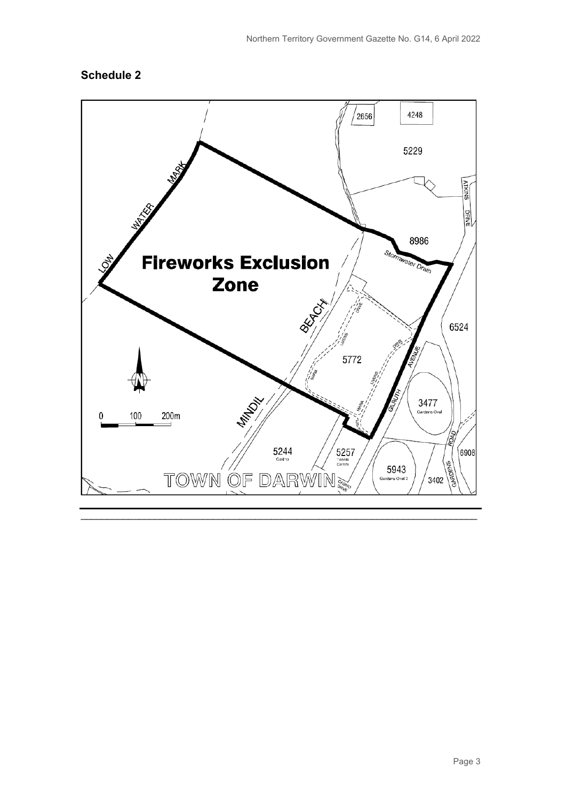### **Schedule 2**

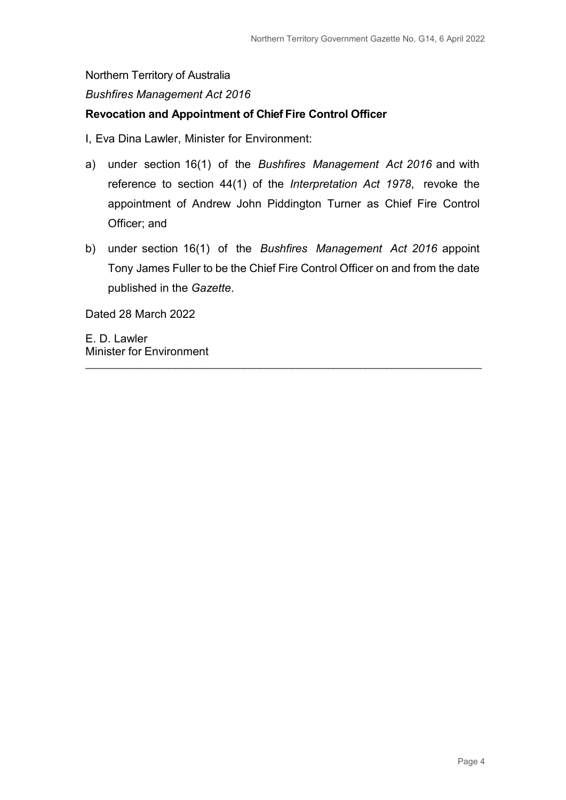#### *Bushfires Management Act 2016*

#### **Revocation and Appointment of Chief Fire Control Officer**

I, Eva Dina Lawler, Minister for Environment:

- a) under section 16(1) of the *Bushfires Management Act 2016* and with reference to section 44(1) of the *Interpretation Act 1978*, revoke the appointment of Andrew John Piddington Turner as Chief Fire Control Officer; and
- b) under section 16(1) of the *Bushfires Management Act 2016* appoint Tony James Fuller to be the Chief Fire Control Officer on and from the date published in the *Gazette*.

\_\_\_\_\_\_\_\_\_\_\_\_\_\_\_\_\_\_\_\_\_\_\_\_\_\_\_\_\_\_\_\_\_\_\_\_\_\_\_\_\_\_\_\_\_\_\_\_\_\_\_\_\_\_\_\_\_\_\_\_\_\_\_\_\_\_\_\_\_\_\_\_\_\_\_

Dated 28 March 2022

E. D. Lawler Minister for Environment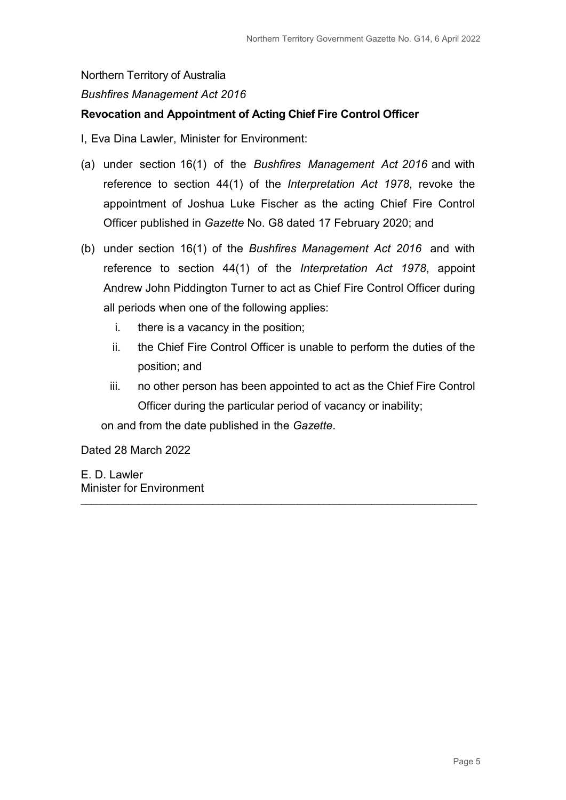#### *Bushfires Management Act 2016*

#### **Revocation and Appointment of Acting Chief Fire Control Officer**

I, Eva Dina Lawler, Minister for Environment:

- (a) under section 16(1) of the *Bushfires Management Act 2016* and with reference to section 44(1) of the *Interpretation Act 1978*, revoke the appointment of Joshua Luke Fischer as the acting Chief Fire Control Officer published in *Gazette* No. G8 dated 17 February 2020; and
- (b) under section 16(1) of the *Bushfires Management Act 2016* and with reference to section 44(1) of the *Interpretation Act 1978*, appoint Andrew John Piddington Turner to act as Chief Fire Control Officer during all periods when one of the following applies:
	- i. there is a vacancy in the position;
	- ii. the Chief Fire Control Officer is unable to perform the duties of the position; and
	- iii. no other person has been appointed to act as the Chief Fire Control Officer during the particular period of vacancy or inability;

\_\_\_\_\_\_\_\_\_\_\_\_\_\_\_\_\_\_\_\_\_\_\_\_\_\_\_\_\_\_\_\_\_\_\_\_\_\_\_\_\_\_\_\_\_\_\_\_\_\_\_\_\_\_\_\_\_\_\_\_\_\_\_\_\_\_\_\_\_\_\_\_\_\_\_

on and from the date published in the *Gazette*.

Dated 28 March 2022

E. D. Lawler Minister for Environment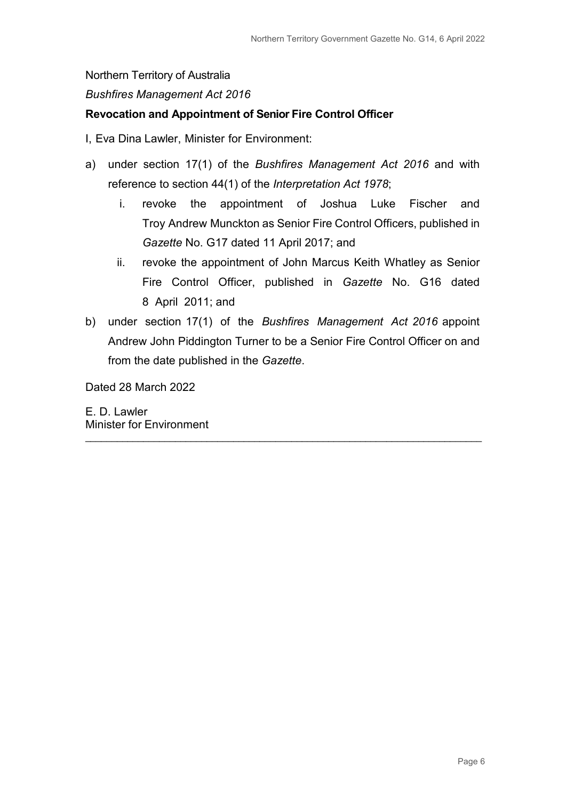#### *Bushfires Management Act 2016*

#### **Revocation and Appointment of Senior Fire Control Officer**

I, Eva Dina Lawler, Minister for Environment:

- a) under section 17(1) of the *Bushfires Management Act 2016* and with reference to section 44(1) of the *Interpretation Act 1978*;
	- i. revoke the appointment of Joshua Luke Fischer and Troy Andrew Munckton as Senior Fire Control Officers, published in *Gazette* No. G17 dated 11 April 2017; and
	- ii. revoke the appointment of John Marcus Keith Whatley as Senior Fire Control Officer, published in *Gazette* No. G16 dated 8 April 2011; and
- b) under section 17(1) of the *Bushfires Management Act 2016* appoint Andrew John Piddington Turner to be a Senior Fire Control Officer on and from the date published in the *Gazette*.

\_\_\_\_\_\_\_\_\_\_\_\_\_\_\_\_\_\_\_\_\_\_\_\_\_\_\_\_\_\_\_\_\_\_\_\_\_\_\_\_\_\_\_\_\_\_\_\_\_\_\_\_\_\_\_\_\_\_\_\_\_\_\_\_\_\_\_\_\_\_\_\_\_\_\_

Dated 28 March 2022

E. D. Lawler Minister for Environment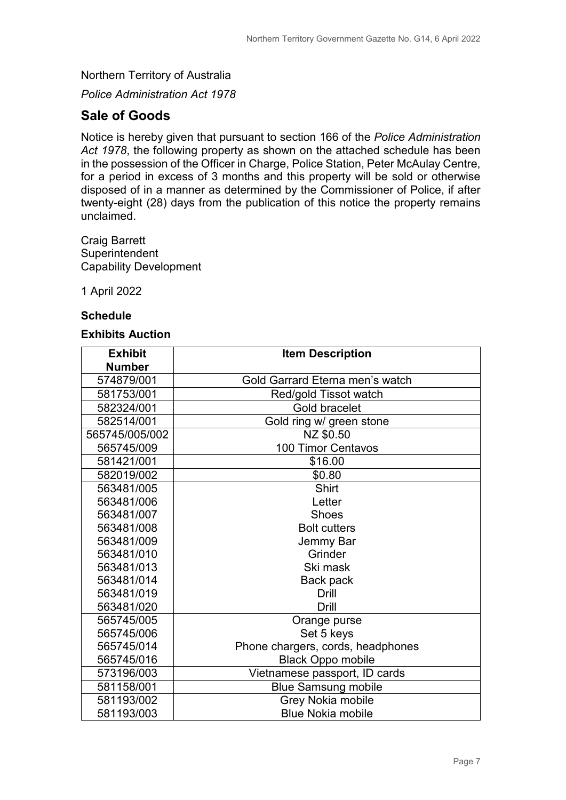*Police Administration Act 1978*

### **Sale of Goods**

Notice is hereby given that pursuant to section 166 of the *Police Administration Act 1978*, the following property as shown on the attached schedule has been in the possession of the Officer in Charge, Police Station, Peter McAulay Centre, for a period in excess of 3 months and this property will be sold or otherwise disposed of in a manner as determined by the Commissioner of Police, if after twenty-eight (28) days from the publication of this notice the property remains unclaimed.

Craig Barrett **Superintendent** Capability Development

1 April 2022

#### **Schedule**

#### **Exhibits Auction**

| <b>Exhibit</b> | <b>Item Description</b>           |
|----------------|-----------------------------------|
| <b>Number</b>  |                                   |
| 574879/001     | Gold Garrard Eterna men's watch   |
| 581753/001     | Red/gold Tissot watch             |
| 582324/001     | Gold bracelet                     |
| 582514/001     | Gold ring w/ green stone          |
| 565745/005/002 | NZ \$0.50                         |
| 565745/009     | 100 Timor Centavos                |
| 581421/001     | \$16.00                           |
| 582019/002     | \$0.80                            |
| 563481/005     | Shirt                             |
| 563481/006     | Letter                            |
| 563481/007     | <b>Shoes</b>                      |
| 563481/008     | <b>Bolt cutters</b>               |
| 563481/009     | Jemmy Bar                         |
| 563481/010     | Grinder                           |
| 563481/013     | Ski mask                          |
| 563481/014     | Back pack                         |
| 563481/019     | Drill                             |
| 563481/020     | Drill                             |
| 565745/005     | Orange purse                      |
| 565745/006     | Set 5 keys                        |
| 565745/014     | Phone chargers, cords, headphones |
| 565745/016     | <b>Black Oppo mobile</b>          |
| 573196/003     | Vietnamese passport, ID cards     |
| 581158/001     | <b>Blue Samsung mobile</b>        |
| 581193/002     | Grey Nokia mobile                 |
| 581193/003     | <b>Blue Nokia mobile</b>          |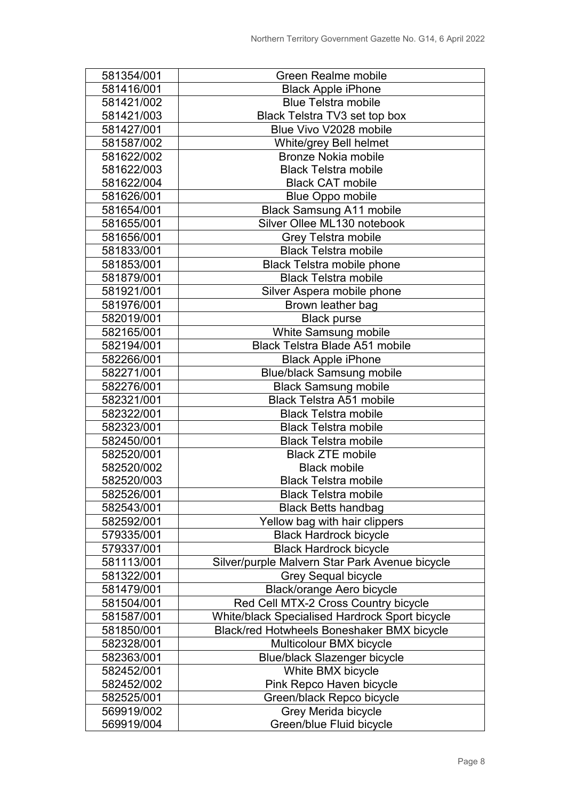| 581354/001 | <b>Green Realme mobile</b>                     |
|------------|------------------------------------------------|
| 581416/001 | <b>Black Apple iPhone</b>                      |
| 581421/002 | <b>Blue Telstra mobile</b>                     |
| 581421/003 | Black Telstra TV3 set top box                  |
| 581427/001 | Blue Vivo V2028 mobile                         |
| 581587/002 | White/grey Bell helmet                         |
| 581622/002 | <b>Bronze Nokia mobile</b>                     |
| 581622/003 | <b>Black Telstra mobile</b>                    |
| 581622/004 | <b>Black CAT mobile</b>                        |
| 581626/001 | <b>Blue Oppo mobile</b>                        |
| 581654/001 | <b>Black Samsung A11 mobile</b>                |
| 581655/001 | Silver Ollee ML130 notebook                    |
| 581656/001 | <b>Grey Telstra mobile</b>                     |
| 581833/001 | <b>Black Telstra mobile</b>                    |
| 581853/001 | <b>Black Telstra mobile phone</b>              |
| 581879/001 | <b>Black Telstra mobile</b>                    |
| 581921/001 | Silver Aspera mobile phone                     |
| 581976/001 | Brown leather bag                              |
| 582019/001 | <b>Black purse</b>                             |
| 582165/001 | White Samsung mobile                           |
| 582194/001 | Black Telstra Blade A51 mobile                 |
| 582266/001 | <b>Black Apple iPhone</b>                      |
| 582271/001 | <b>Blue/black Samsung mobile</b>               |
| 582276/001 | <b>Black Samsung mobile</b>                    |
| 582321/001 | <b>Black Telstra A51 mobile</b>                |
| 582322/001 | <b>Black Telstra mobile</b>                    |
| 582323/001 | <b>Black Telstra mobile</b>                    |
| 582450/001 | <b>Black Telstra mobile</b>                    |
| 582520/001 | <b>Black ZTE mobile</b>                        |
| 582520/002 | <b>Black mobile</b>                            |
| 582520/003 | <b>Black Telstra mobile</b>                    |
| 582526/001 | <b>Black Telstra mobile</b>                    |
| 582543/001 | <b>Black Betts handbag</b>                     |
| 582592/001 | Yellow bag with hair clippers                  |
| 579335/001 | <b>Black Hardrock bicycle</b>                  |
| 579337/001 | <b>Black Hardrock bicycle</b>                  |
| 581113/001 | Silver/purple Malvern Star Park Avenue bicycle |
| 581322/001 | <b>Grey Sequal bicycle</b>                     |
| 581479/001 | Black/orange Aero bicycle                      |
| 581504/001 | Red Cell MTX-2 Cross Country bicycle           |
| 581587/001 | White/black Specialised Hardrock Sport bicycle |
| 581850/001 | Black/red Hotwheels Boneshaker BMX bicycle     |
| 582328/001 | Multicolour BMX bicycle                        |
| 582363/001 | <b>Blue/black Slazenger bicycle</b>            |
| 582452/001 | White BMX bicycle                              |
| 582452/002 | Pink Repco Haven bicycle                       |
| 582525/001 | Green/black Repco bicycle                      |
| 569919/002 | Grey Merida bicycle                            |
| 569919/004 | Green/blue Fluid bicycle                       |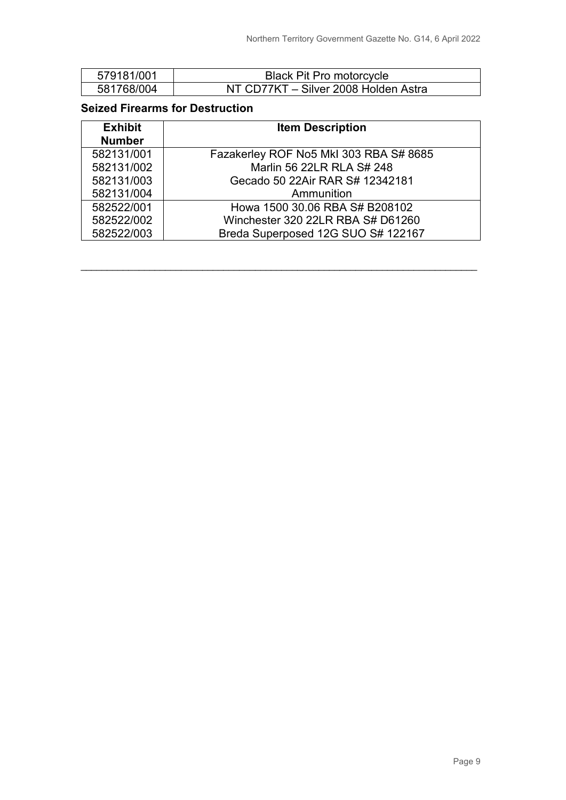| 579181/001 | <b>Black Pit Pro motorcycle</b>      |
|------------|--------------------------------------|
| 581768/004 | NT CD77KT - Silver 2008 Holden Astra |

#### **Seized Firearms for Destruction**

| <b>Exhibit</b> | <b>Item Description</b>                |
|----------------|----------------------------------------|
| <b>Number</b>  |                                        |
| 582131/001     | Fazakerley ROF No5 Mkl 303 RBA S# 8685 |
| 582131/002     | Marlin 56 22LR RLA S# 248              |
| 582131/003     | Gecado 50 22Air RAR S# 12342181        |
| 582131/004     | Ammunition                             |
| 582522/001     | Howa 1500 30.06 RBA S# B208102         |
| 582522/002     | Winchester 320 22LR RBA S# D61260      |
| 582522/003     | Breda Superposed 12G SUO S# 122167     |

\_\_\_\_\_\_\_\_\_\_\_\_\_\_\_\_\_\_\_\_\_\_\_\_\_\_\_\_\_\_\_\_\_\_\_\_\_\_\_\_\_\_\_\_\_\_\_\_\_\_\_\_\_\_\_\_\_\_\_\_\_\_\_\_\_\_\_\_\_\_\_\_\_\_\_